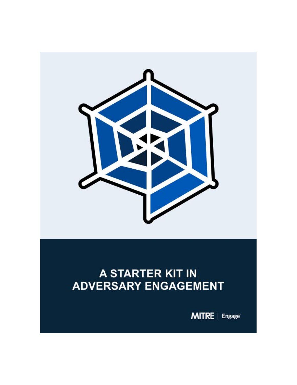

# A STARTER KIT IN **ADVERSARY ENGAGEMENT**

MITRE | Engage<sup>®</sup>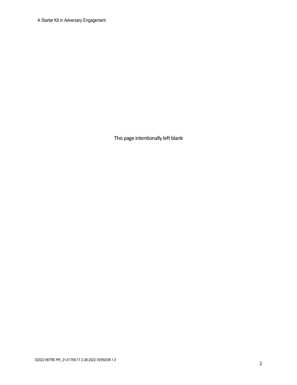A Starter Kit in Adversary Engagement

This page intentionally left blank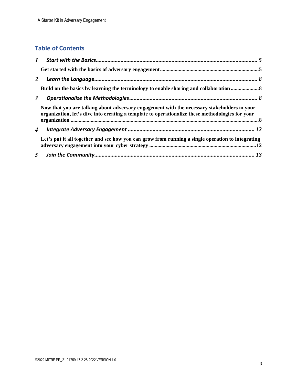## **Table of Contents**

| 2 |                                                                                                                                                                                                 |
|---|-------------------------------------------------------------------------------------------------------------------------------------------------------------------------------------------------|
|   | Build on the basics by learning the terminology to enable sharing and collaboration                                                                                                             |
| 3 |                                                                                                                                                                                                 |
|   | Now that you are talking about adversary engagement with the necessary stakeholders in your<br>organization, let's dive into creating a template to operationalize these methodologies for your |
| 4 |                                                                                                                                                                                                 |
|   | Let's put it all together and see how you can grow from running a single operation to integrating                                                                                               |
|   |                                                                                                                                                                                                 |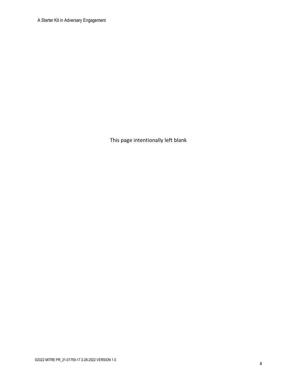A Starter Kit in Adversary Engagement

This page intentionally left blank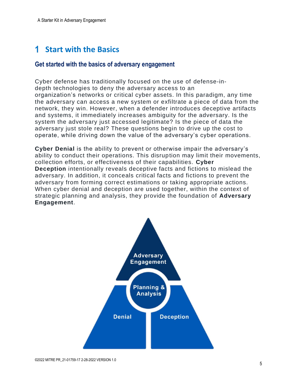## <span id="page-4-0"></span>**Start with the Basics**

## <span id="page-4-1"></span>**Get started with the basics of adversary engagement**

Cyber defense has traditionally focused on the use of defense-indepth technologies to deny the adversary access to an organization's networks or critical cyber assets. In this paradigm, any time the adversary can access a new system or exfiltrate a piece of data from the network, they win. However, when a defender introduces deceptive artifacts and systems, it immediately increases ambiguity for the adversary. Is the system the adversary just accessed legitimate? Is the piece of data the adversary just stole real? These questions begin to drive up the cost to operate, while driving down the value of the adversary's cyber operations.

**Cyber Denial** is the ability to prevent or otherwise impair the adversary's ability to conduct their operations. This disruption may limit their movements, collection efforts, or effectiveness of their capabilities. **Cyber Deception** intentionally reveals deceptive facts and fictions to mislead the adversary. In addition, it conceals critical facts and fictions to prevent the adversary from forming correct estimations or taking appropriate actions. When cyber denial and deception are used together, within the context of strategic planning and analysis, they provide the foundation of **Adversary Engagement**.

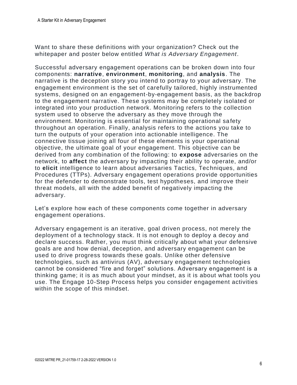Want to share these definitions with your organization? Check out the whitepaper and poster below entitled *What is Adversary Engagement*.

Successful adversary engagement operations can be broken down into four components: **narrative**, **environment**, **monitoring**, and **analysis**. The narrative is the deception story you intend to portray to your adversary. The engagement environment is the set of carefully tailored, highly instrumented systems, designed on an engagement-by-engagement basis, as the backdrop to the engagement narrative. These systems may be completely isolated or integrated into your production network. Monitoring refers to the collection system used to observe the adversary as they move through the environment. Monitoring is essential for maintaining operational sa fety throughout an operation. Finally, analysis refers to the actions you take to turn the outputs of your operation into actionable intelligence. The connective tissue joining all four of these elements is your operational objective, the ultimate goal of your engagement. This objective can be derived from any combination of the following: to **expose** adversaries on the network, to **affect** the adversary by impacting their ability to operate, and/or to **elicit** intelligence to learn about adversaries Tactics, Techniques, and Procedures (TTPs). Adversary engagement operations provide opportunities for the defender to demonstrate tools, test hypotheses, and improve their threat models, all with the added benefit of negatively impacting the adversary.

Let's explore how each of these components come together in adversary engagement operations.

Adversary engagement is an iterative, goal driven process, not merely the deployment of a technology stack. It is not enough to deploy a decoy and declare success. Rather, you must think critically about what your defensive goals are and how denial, deception, and adversary engagement can be used to drive progress towards these goals. Unlike other defensive technologies, such as antivirus (AV), adversary engagement technologies cannot be considered "fire and forget" solutions. Adversary engagement is a thinking game; it is as much about your mindset, as it is about what tools you use. The Engage 10-Step Process helps you consider engagement activities within the scope of this mindset.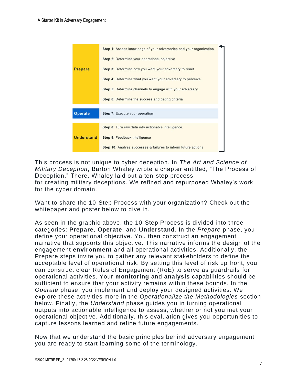|                   | Step 1: Assess knowledge of your adversaries and your organization |
|-------------------|--------------------------------------------------------------------|
|                   | Step 2: Determine your operational objective                       |
| <b>Prepare</b>    | Step 3: Determine how you want your adversary to react             |
|                   | Step 4: Determine what you want your adversary to perceive         |
|                   | Step 5: Determine channels to engage with your adversary           |
|                   | Step 6: Determine the success and gating criteria                  |
|                   |                                                                    |
| <b>Operate</b>    | Step 7: Execute your operation                                     |
|                   |                                                                    |
|                   | Step 8: Turn raw data into actionable intelligence                 |
| <b>Understand</b> | Step 9: Feedback intelligence                                      |
|                   | Step 10: Analyze successes & failures to inform future actions     |

This process is not unique to cyber deception. In *The Art and Science of Military Deception*, Barton Whaley wrote a chapter entitled, "The Process of Deception." There, Whaley laid out a ten-step process for creating military deceptions. We refined and repurposed Whaley's work for the cyber domain.

Want to share the 10-Step Process with your organization? Check out the whitepaper and poster below to dive in.

As seen in the graphic above, the 10-Step Process is divided into three categories: **Prepare**, **Operate**, and **Understand**. In the *Prepare* phase, you define your operational objective. You then construct an engagement narrative that supports this objective. This narrative informs the design of the engagement **environment** and all operational activities. Additionally, the Prepare steps invite you to gather any relevant stakeholders to define the acceptable level of operational risk. By setting this level of risk up front, you can construct clear Rules of Engagement (RoE) to serve as guardrails for operational activities. Your **monitoring** and **analysis** capabilities should be sufficient to ensure that your activity remains within these bounds. In the *Operate* phase, you implement and deploy your designed activities. We explore these activities more in the *Operationalize the Methodologies* section below. Finally, the *Understand* phase guides you in turning operational outputs into actionable intelligence to assess, whether or not you met your operational objective. Additionally, this evaluation gives you opportunities to capture lessons learned and refine future engagements.

Now that we understand the basic principles behind adversary engagement you are ready to start learning some of the terminology.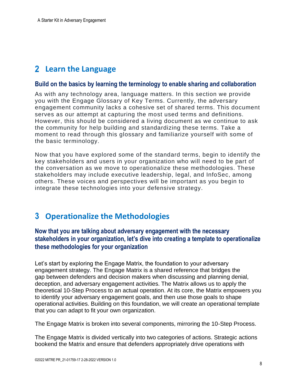## <span id="page-7-0"></span>**Learn the Language**

### <span id="page-7-1"></span>**Build on the basics by learning the terminology to enable sharing and collaboration**

As with any technology area, language matters. In this section we provide you with the Engage Glossary of Key Terms. Currently, the adversary engagement community lacks a cohesive set of shared terms. This document serves as our attempt at capturing the most used terms and definitions. However, this should be considered a living document as we continue to ask the community for help building and standardizing these terms. Take a moment to read through this glossary and familiarize yourself with some of the basic terminology.

Now that you have explored some of the standard terms, begin to identify the key stakeholders and users in your organization who will need to be part of the conversation as we move to operationalize these methodologies. These stakeholders may include executive leadership, legal, and InfoSec, among others. These voices and perspectives will be important as you begin to integrate these technologies into your defensive strategy.

#### <span id="page-7-2"></span>3 **Operationalize the Methodologies**

## <span id="page-7-3"></span>**Now that you are talking about adversary engagement with the necessary stakeholders in your organization, let's dive into creating a template to operationalize these methodologies for your organization**

Let's start by exploring the Engage Matrix, the foundation to your adversary engagement strategy. The Engage Matrix is a shared reference that bridges the gap between defenders and decision makers when discussing and planning denial, deception, and adversary engagement activities. The Matrix allows us to apply the theoretical 10-Step Process to an actual operation. At its core, the Matrix empowers you to identify your adversary engagement goals, and then use those goals to shape operational activities. Building on this foundation, we will create an operational template that you can adapt to fit your own organization.

The Engage Matrix is broken into several components, mirroring the 10-Step Process.

The Engage Matrix is divided vertically into two categories of actions. Strategic actions bookend the Matrix and ensure that defenders appropriately drive operations with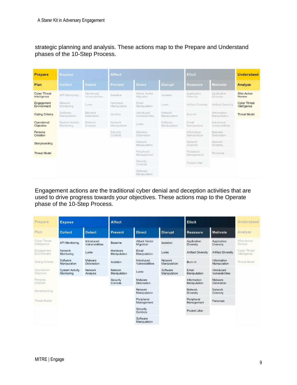strategic planning and analysis. These actions map to the Prepare and Understand phases of the 10-Step Process.

| <b>Prepare</b>                      | <b>Expose</b>                        |                               | <b>Affect</b>            |                               |                          | <b>Elicit</b>                   |                                 | <b>Understand</b>                   |
|-------------------------------------|--------------------------------------|-------------------------------|--------------------------|-------------------------------|--------------------------|---------------------------------|---------------------------------|-------------------------------------|
| Plan                                | <b>Collect</b>                       | <b>Detect</b>                 | <b>Prevent</b>           | <b>Direct</b>                 | <b>Disrupt</b>           | <b>Reassure</b>                 | <b>Motivate</b>                 | Analyze                             |
| <b>Cyber Threat</b><br>Intelligence | <b>API Monitoring</b>                | Introduced<br>Vulnerabilities | <b>Baseline</b>          | Attack Vector<br>Migration    | Isolation                | Application<br><b>Diversity</b> | Application<br><b>Diversity</b> | After-Action<br><b>Review</b>       |
| Engagement<br>Environment           | Network<br>Monitoring                | Lures                         | Hardware<br>Manipulation | Email<br>Manipulation         | Lures                    | <b>Artifact Diversity</b>       | <b>Artifact Diversity</b>       | <b>Cyber Threat</b><br>Intelligence |
| <b>Gating Criteria</b>              | Software<br>Manipulation             | Malware<br>Detonation         | Isolation                | Introduced<br>Vulnerabilities | Network<br>Manipulation  | Burn-In                         | Information<br>Manipulation     | <b>Threat Model</b>                 |
| Operational<br>Objective            | <b>System Activity</b><br>Monitoring | Network<br>Analysis           | Network<br>Manipulation  | Lures                         | Software<br>Manipulation | Email<br>Manipulation           | Introduced<br>Vulnerabilities   |                                     |
| Persona<br>Creation                 |                                      |                               | Security<br>Controls     | Malware<br>Detonation         |                          | Information<br>Manipulation     | Malware<br>Detonation           |                                     |
| Storyboarding                       |                                      |                               |                          | Network<br>Manipulation       |                          | Network<br><b>Diversity</b>     | Network<br><b>Diversity</b>     |                                     |
| <b>Threat Model</b>                 |                                      |                               |                          | Peripheral<br>Management      |                          | Peripheral<br>Management        | Personas                        |                                     |
|                                     |                                      |                               |                          | Security<br>Controls          |                          | Pocket Litter                   |                                 |                                     |
|                                     |                                      |                               |                          | Software<br>Manipulation      |                          |                                 |                                 |                                     |

Engagement actions are the traditional cyber denial and deception activities that are used to drive progress towards your objectives. These actions map to the Operate phase of the 10-Step Process.

| Prepare                      | <b>Expose</b>                        |                               | <b>Affect</b>                  |                                   |                          | <b>Elicit</b>                   |                                 | Understand                   |
|------------------------------|--------------------------------------|-------------------------------|--------------------------------|-----------------------------------|--------------------------|---------------------------------|---------------------------------|------------------------------|
| Plan                         | <b>Collect</b>                       | <b>Detect</b>                 | <b>Prevent</b>                 | <b>Direct</b>                     | <b>Disrupt</b>           | <b>Reassure</b>                 | <b>Motivate</b>                 | Analyze                      |
| Cyber Threat<br>Intelligence | <b>API Monitoring</b>                | Introduced<br>Vulnerabilities | <b>Baseline</b>                | <b>Attack Vector</b><br>Migration | Isolation                | Application<br><b>Diversity</b> | Application<br><b>Diversity</b> | After-Action<br>Review       |
| Engagement<br>Environment    | <b>Network</b><br>Monitoring         | Lures                         | Hardware<br>Manipulation       | Email<br>Manipulation             | Lures                    | <b>Artifact Diversity</b>       | <b>Artifact Diversity</b>       | Cyber Threat<br>Intelligence |
| Gating Criteria              | Software<br>Manipulation             | Malware<br>Detonation         | Isolation                      | Introduced<br>Vulnerabilities     | Network<br>Manipulation  | Burn-In                         | Information<br>Manipulation     | <b>Threat Model</b>          |
| Operational<br>Objective     | <b>System Activity</b><br>Monitoring | Network<br>Analysis           | <b>Network</b><br>Manipulation | Lures                             | Software<br>Manipulation | Email<br>Manipulation           | Introduced<br>Vulnerabilities   |                              |
| Persona<br>Creation          |                                      |                               | Security<br>Controls           | Malware<br>Detonation             |                          | Information<br>Manipulation     | Malware<br>Detonation           |                              |
| Storyboarding                |                                      |                               |                                | Network<br>Manipulation           |                          | Network<br><b>Diversity</b>     | Network<br><b>Diversity</b>     |                              |
| <b>Threat Model</b>          |                                      |                               |                                | Peripheral<br>Management          |                          | Peripheral<br>Management        | Personas                        |                              |
|                              |                                      |                               |                                | Security<br>Controls              |                          | Pocket Litter                   |                                 |                              |
|                              |                                      |                               |                                | Software<br>Manipulation          |                          |                                 |                                 |                              |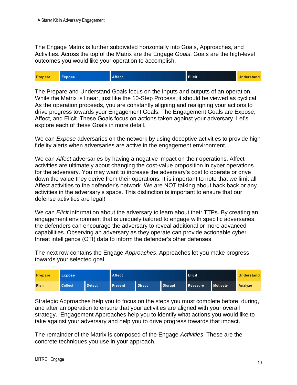The Engage Matrix is further subdivided horizontally into Goals, Approaches, and Activities. Across the top of the Matrix are the Engage *Goals*. Goals are the high-level outcomes you would like your operation to accomplish.



The Prepare and Understand Goals focus on the inputs and outputs of an operation. While the Matrix is linear, just like the 10-Step Process, it should be viewed as cyclical. As the operation proceeds, you are constantly aligning and realigning your actions to drive progress towards your Engagement Goals. The Engagement Goals are Expose, Affect, and Elicit. These Goals focus on actions taken against your adversary. Let's explore each of these Goals in more detail.

We can *Expose* adversaries on the network by using deceptive activities to provide high fidelity alerts when adversaries are active in the engagement environment.

We can *Affect* adversaries by having a negative impact on their operations. Affect activities are ultimately about changing the cost-value proposition in cyber operations for the adversary. You may want to increase the adversary's cost to operate or drive down the value they derive from their operations. It is important to note that we limit all Affect activities to the defender's network. We are NOT talking about hack back or any activities in the adversary's space. This distinction is important to ensure that our defense activities are legal!

We can *Elicit* information about the adversary to learn about their TTPs. By creating an engagement environment that is uniquely tailored to engage with specific adversaries, the defenders can encourage the adversary to reveal additional or more advanced capabilities. Observing an adversary as they operate can provide actionable cyber threat intelligence (CTI) data to inform the defender's other defenses.

The next row contains the Engage *Approaches*. Approaches let you make progress towards your selected goal.

| <b>Prepare</b> | <b>Expose</b>  |        | <b>Affect</b>  |               |                | <b>Elicit</b> |                 | <b>Understand</b> |
|----------------|----------------|--------|----------------|---------------|----------------|---------------|-----------------|-------------------|
| Plan           | <b>Collect</b> | Detect | <b>Prevent</b> | <b>Direct</b> | <b>Disrupt</b> | Reassure      | <b>Motivate</b> | Analyze           |

Strategic Approaches help you to focus on the steps you must complete before, during, and after an operation to ensure that your activities are aligned with your overall strategy. Engagement Approaches help you to identify what actions you would like to take against your adversary and help you to drive progress towards that impact.

The remainder of the Matrix is composed of the Engage *Activities*. These are the concrete techniques you use in your approach.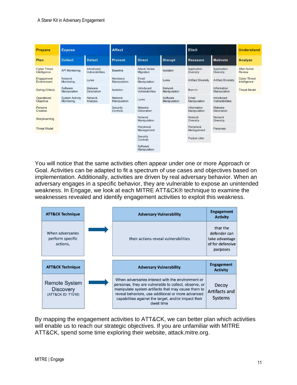| <b>Prepare</b>                      | <b>Expose</b>                        |                               | <b>Affect</b>                   |                                   |                          | <b>Elicit</b>                   |                                 | <b>Understand</b>                   |
|-------------------------------------|--------------------------------------|-------------------------------|---------------------------------|-----------------------------------|--------------------------|---------------------------------|---------------------------------|-------------------------------------|
| Plan                                | <b>Collect</b>                       | <b>Detect</b>                 | <b>Prevent</b>                  | <b>Direct</b>                     | <b>Disrupt</b>           | <b>Reassure</b>                 | <b>Motivate</b>                 | <b>Analyze</b>                      |
| <b>Cyber Threat</b><br>Intelligence | <b>API Monitoring</b>                | Introduced<br>Vulnerabilities | <b>Baseline</b>                 | <b>Attack Vector</b><br>Migration | Isolation                | Application<br><b>Diversity</b> | Application<br><b>Diversity</b> | After-Action<br><b>Review</b>       |
| Engagement<br>Environment           | <b>Network</b><br>Monitoring         | Lures                         | <b>Hardware</b><br>Manipulation | Email<br>Manipulation             | Lures                    | <b>Artifact Diversity</b>       | <b>Artifact Diversity</b>       | <b>Cyber Threat</b><br>Intelligence |
| <b>Gating Criteria</b>              | Software<br>Manipulation             | Malware<br>Detonation         | Isolation                       | Introduced<br>Vulnerabilities     | Network<br>Manipulation  | Burn-In                         | Information<br>Manipulation     | <b>Threat Model</b>                 |
| Operational<br>Objective            | <b>System Activity</b><br>Monitoring | Network<br>Analysis           | <b>Network</b><br>Manipulation  | Lures                             | Software<br>Manipulation | Email<br>Manipulation           | Introduced<br>Vulnerabilities   |                                     |
| Persona<br>Creation                 |                                      |                               | Security<br>Controls            | Malware<br>Detonation             |                          | Information<br>Manipulation     | Malware<br>Detonation           |                                     |
| Storyboarding                       |                                      |                               |                                 | Network<br>Manipulation           |                          | Network<br><b>Diversity</b>     | Network<br><b>Diversity</b>     |                                     |
| <b>Threat Model</b>                 |                                      |                               |                                 | Peripheral<br>Management          |                          | Peripheral<br>Management        | Personas                        |                                     |
|                                     |                                      |                               |                                 | Security<br>Controls              |                          | <b>Pocket Litter</b>            |                                 |                                     |
|                                     |                                      |                               |                                 | Software<br>Manipulation          |                          |                                 |                                 |                                     |

You will notice that the same activities often appear under one or more Approach or Goal. Activities can be adapted to fit a spectrum of use cases and objectives based on implementation. Additionally, activities are driven by real adversary behavior. When an adversary engages in a specific behavior, they are vulnerable to expose an unintended weakness. In Engage, we look at each MITRE ATT&CK® technique to examine the weaknesses revealed and identify engagement activities to exploit this weakness.

| <b>ATT&amp;CK Technique</b>                                    | <b>Adversary Vulnerability</b>                                                                                                                                                                                                                                                              | <b>Engagement</b><br><b>Activity</b>                                       |
|----------------------------------------------------------------|---------------------------------------------------------------------------------------------------------------------------------------------------------------------------------------------------------------------------------------------------------------------------------------------|----------------------------------------------------------------------------|
| When adversaries<br>perform specific<br>actions,               | their actions reveal vulnerabilities                                                                                                                                                                                                                                                        | that the<br>defender can<br>take advantage<br>of for defensive<br>purposes |
|                                                                |                                                                                                                                                                                                                                                                                             |                                                                            |
| <b>ATT&amp;CK Technique</b>                                    | <b>Adversary Vulnerability</b>                                                                                                                                                                                                                                                              | <b>Engagement</b><br><b>Activity</b>                                       |
| <b>Remote System</b><br><b>Discovery</b><br>(ATT&CK ID: T1018) | When adversaries interact with the environment or<br>personas, they are vulnerable to collect, observe, or<br>manipulate system artifacts that may cause them to<br>reveal behaviors, use additional or more advanced<br>capabilities against the target, and/or impact their<br>dwell time | Decoy<br>Artifacts and<br><b>Systems</b>                                   |

By mapping the engagement activities to ATT&CK, we can better plan which activities will enable us to reach our strategic objectives. If you are unfamiliar with MITRE ATT&CK, spend some time exploring their website, attack.mitre.org.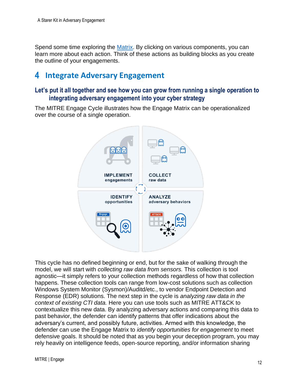Spend some time exploring the [Matrix.](https://engage.mitre.org/matrix/) By clicking on various components, you can learn more about each action. Think of these actions as building blocks as you create the outline of your engagements.

#### <span id="page-11-0"></span>**Integrate Adversary Engagement** 4

### <span id="page-11-1"></span>Let's put it all together and see how you can grow from running a single operation to **integrating adversary engagement into your cyber strategy**

The MITRE Engage Cycle illustrates how the Engage Matrix can be operationalized over the course of a single operation.



This cycle has no defined beginning or end, but for the sake of walking through the model, we will start with *collecting raw data from sensors.* This collection is tool agnostic—it simply refers to your collection methods regardless of how that collection happens. These collection tools can range from low-cost solutions such as collection Windows System Monitor (Sysmon)/Auditd/etc., to vendor Endpoint Detection and Response (EDR) solutions. The next step in the cycle is *analyzing raw data in the context of existing CTI data.* Here you can use tools such as MITRE ATT&CK to contextualize this new data. By analyzing adversary actions and comparing this data to past behavior, the defender can identify patterns that offer indications about the adversary's current, and possibly future, activities. Armed with this knowledge, the defender can use the Engage Matrix to *identify opportunities for engagement* to meet defensive goals. It should be noted that as you begin your deception program, you may rely heavily on intelligence feeds, open-source reporting, and/or information sharing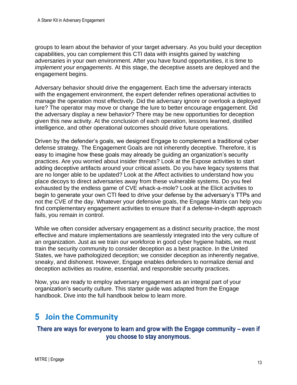groups to learn about the behavior of your target adversary. As you build your deception capabilities, you can complement this CTI data with insights gained by watching adversaries in your own environment. After you have found opportunities, it is time to *implement your engagements*. At this stage, the deceptive assets are deployed and the engagement begins.

Adversary behavior should drive the engagement. Each time the adversary interacts with the engagement environment, the expert defender refines operational activities to manage the operation most effectively. Did the adversary ignore or overlook a deployed lure? The operator may move or change the lure to better encourage engagement. Did the adversary display a new behavior? There may be new opportunities for deception given this new activity. At the conclusion of each operation, lessons learned, distilled intelligence, and other operational outcomes should drive future operations.

Driven by the defender's goals, we designed Engage to complement a traditional cyber defense strategy. The Engagement Goals are not inherently deceptive. Therefore, it is easy to imagine how these goals may already be guiding an organization's security practices. Are you worried about insider threats? Look at the Expose activities to start adding deceptive artifacts around your critical assets. Do you have legacy systems that are no longer able to be updated? Look at the Affect activities to understand how you place decoys to direct adversaries away from these vulnerable systems. Do you feel exhausted by the endless game of CVE whack-a-mole? Look at the Elicit activities to begin to generate your own CTI feed to drive your defense by the adversary's TTPs and not the CVE of the day. Whatever your defensive goals, the Engage Matrix can help you find complementary engagement activities to ensure that if a defense-in-depth approach fails, you remain in control.

While we often consider adversary engagement as a distinct security practice, the most effective and mature implementations are seamlessly integrated into the very culture of an organization. Just as we train our workforce in good cyber hygiene habits, we must train the security community to consider deception as a best practice. In the United States, we have pathologized deception; we consider deception as inherently negative, sneaky, and dishonest. However, Engage enables defenders to normalize denial and deception activities as routine, essential, and responsible security practices.

Now, you are ready to employ adversary engagement as an integral part of your organization's security culture. This starter guide was adapted from the Engage handbook. Dive into the full handbook below to learn more.

## <span id="page-12-0"></span>**Join the Community**

### **There are ways for everyone to learn and grow with the Engage community – even if you choose to stay anonymous.**